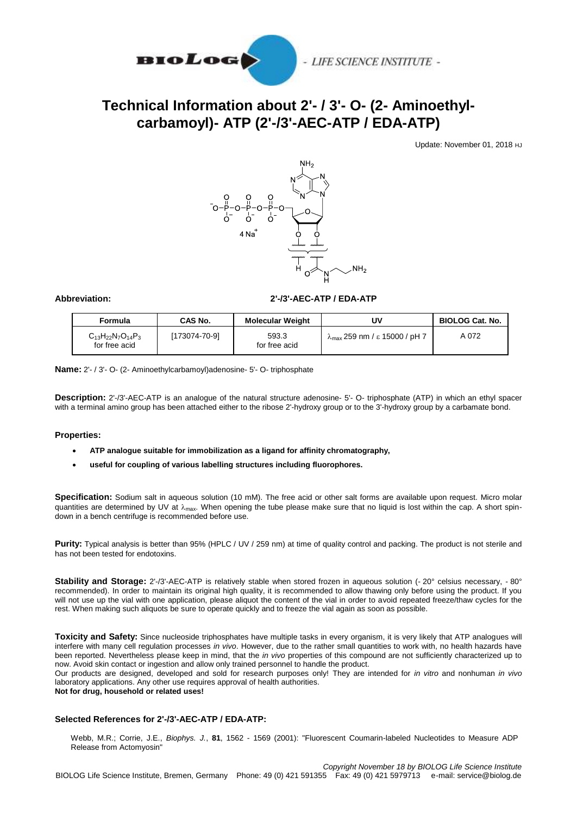

# - LIFE SCIENCE INSTITUTE -

# **Technical Information about 2'- / 3'- O- (2- Aminoethylcarbamoyl)- ATP (2'-/3'-AEC-ATP / EDA-ATP)**

Update: November 01, 2018 HJ



### **Abbreviation: 2'-/3'-AEC-ATP / EDA-ATP**

| Formula                                     | <b>CAS No.</b> | <b>Molecular Weight</b> | UV                                             | <b>BIOLOG Cat. No.</b> |
|---------------------------------------------|----------------|-------------------------|------------------------------------------------|------------------------|
| $C_{13}H_{22}N_7O_{14}P_3$<br>for free acid | [173074-70-9]  | 593.3<br>for free acid  | $\lambda_{\text{max}}$ 259 nm / ε 15000 / pH 7 | A 072                  |

**Name:** 2'- / 3'- O- (2- Aminoethylcarbamoyl)adenosine- 5'- O- triphosphate

**Description:** 2'-/3'-AEC-ATP is an analogue of the natural structure adenosine- 5'- O- triphosphate (ATP) in which an ethyl spacer with a terminal amino group has been attached either to the ribose 2'-hydroxy group or to the 3'-hydroxy group by a carbamate bond.

#### **Properties:**

- **ATP analogue suitable for immobilization as a ligand for affinity chromatography,**
- **useful for coupling of various labelling structures including fluorophores.**

**Specification:** Sodium salt in aqueous solution (10 mM). The free acid or other salt forms are available upon request. Micro molar quantities are determined by UV at  $\lambda_{\text{max}}$ . When opening the tube please make sure that no liquid is lost within the cap. A short spindown in a bench centrifuge is recommended before use.

Purity: Typical analysis is better than 95% (HPLC / UV / 259 nm) at time of quality control and packing. The product is not sterile and has not been tested for endotoxins.

**Stability and Storage:** 2'-/3'-AEC-ATP is relatively stable when stored frozen in aqueous solution (- 20° celsius necessary, - 80° recommended). In order to maintain its original high quality, it is recommended to allow thawing only before using the product. If you will not use up the vial with one application, please aliquot the content of the vial in order to avoid repeated freeze/thaw cycles for the rest. When making such aliquots be sure to operate quickly and to freeze the vial again as soon as possible.

**Toxicity and Safety:** Since nucleoside triphosphates have multiple tasks in every organism, it is very likely that ATP analogues will interfere with many cell regulation processes *in vivo*. However, due to the rather small quantities to work with, no health hazards have been reported. Nevertheless please keep in mind, that the *in vivo* properties of this compound are not sufficiently characterized up to now. Avoid skin contact or ingestion and allow only trained personnel to handle the product.

Our products are designed, developed and sold for research purposes only! They are intended for *in vitro* and nonhuman *in vivo* laboratory applications. Any other use requires approval of health authorities.

### **Not for drug, household or related uses!**

#### **Selected References for 2'-/3'-AEC-ATP / EDA-ATP:**

Webb, M.R.; Corrie, J.E., *Biophys. J.*, **81**, 1562 - 1569 (2001): "Fluorescent Coumarin-labeled Nucleotides to Measure ADP Release from Actomyosin"